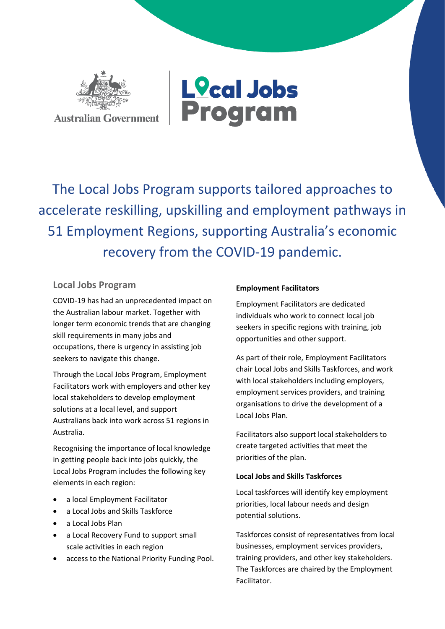



The Local Jobs Program supports tailored approaches to accelerate reskilling, upskilling and employment pathways in 51 Employment Regions, supporting Australia's economic recovery from the COVID-19 pandemic.

## **Local Jobs Program**

COVID-19 has had an unprecedented impact on the Australian labour market. Together with longer term economic trends that are changing skill requirements in many jobs and occupations, there is urgency in assisting job seekers to navigate this change.

Through the Local Jobs Program, Employment Facilitators work with employers and other key local stakeholders to develop employment solutions at a local level, and support Australians back into work across 51 regions in Australia.

Recognising the importance of local knowledge in getting people back into jobs quickly, the Local Jobs Program includes the following key elements in each region:

- a local Employment Facilitator
- a Local Jobs and Skills Taskforce
- a Local Jobs Plan
- a Local Recovery Fund to support small scale activities in each region
- access to the National Priority Funding Pool.

## **Employment Facilitators**

Employment Facilitators are dedicated individuals who work to connect local job seekers in specific regions with training, job opportunities and other support.

As part of their role, Employment Facilitators chair Local Jobs and Skills Taskforces, and work with local stakeholders including employers, employment services providers, and training organisations to drive the development of a Local Jobs Plan.

Facilitators also support local stakeholders to create targeted activities that meet the priorities of the plan.

## **Local Jobs and Skills Taskforces**

Local taskforces will identify key employment priorities, local labour needs and design potential solutions.

Taskforces consist of representatives from local businesses, employment services providers, training providers, and other key stakeholders. The Taskforces are chaired by the Employment Facilitator.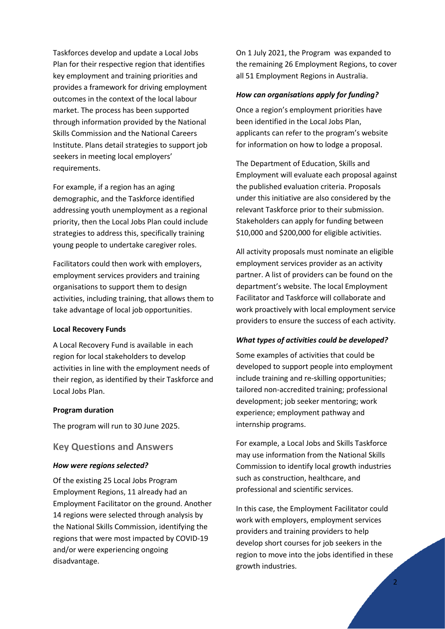Taskforces develop and update a Local Jobs Plan for their respective region that identifies key employment and training priorities and provides a framework for driving employment outcomes in the context of the local labour market. The process has been supported through information provided by the National Skills Commission and the National Careers Institute. Plans detail strategies to support job seekers in meeting local employers' requirements.

For example, if a region has an aging demographic, and the Taskforce identified addressing youth unemployment as a regional priority, then the Local Jobs Plan could include strategies to address this, specifically training young people to undertake caregiver roles.

Facilitators could then work with employers, employment services providers and training organisations to support them to design activities, including training, that allows them to take advantage of local job opportunities.

#### **Local Recovery Funds**

A Local Recovery Fund is available in each region for local stakeholders to develop activities in line with the employment needs of their region, as identified by their Taskforce and Local Jobs Plan.

#### **Program duration**

The program will run to 30 June 2025.

### **Key Questions and Answers**

#### *How were regions selected?*

Of the existing 25 Local Jobs Program Employment Regions, 11 already had an Employment Facilitator on the ground. Another 14 regions were selected through analysis by the National Skills Commission, identifying the regions that were most impacted by COVID-19 and/or were experiencing ongoing disadvantage.

On 1 July 2021, the Program was expanded to the remaining 26 Employment Regions, to cover all 51 Employment Regions in Australia.

#### *How can organisations apply for funding?*

Once a region's employment priorities have been identified in the Local Jobs Plan, applicants can refer to the program's website for information on how to lodge a proposal.

The Department of Education, Skills and Employment will evaluate each proposal against the published evaluation criteria. Proposals under this initiative are also considered by the relevant Taskforce prior to their submission. Stakeholders can apply for funding between \$10,000 and \$200,000 for eligible activities.

All activity proposals must nominate an eligible employment services provider as an activity partner. A list of providers can be found on the department's website. The local Employment Facilitator and Taskforce will collaborate and work proactively with local employment service providers to ensure the success of each activity.

#### *What types of activities could be developed?*

Some examples of activities that could be developed to support people into employment include training and re-skilling opportunities; tailored non-accredited training; professional development; job seeker mentoring; work experience; employment pathway and internship programs.

For example, a Local Jobs and Skills Taskforce may use information from the National Skills Commission to identify local growth industries such as construction, healthcare, and professional and scientific services.

In this case, the Employment Facilitator could work with employers, employment services providers and training providers to help develop short courses for job seekers in the region to move into the jobs identified in these growth industries.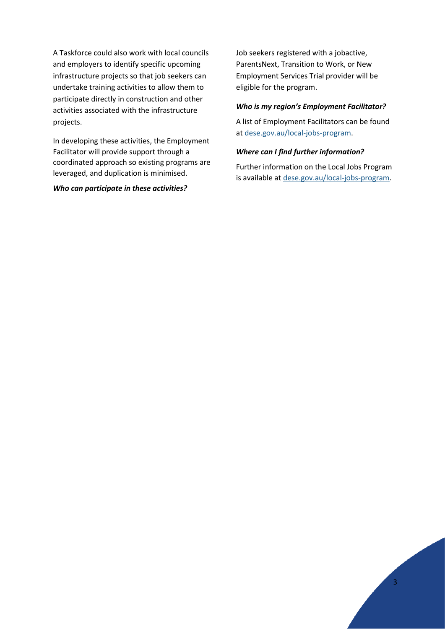A Taskforce could also work with local councils and employers to identify specific upcoming infrastructure projects so that job seekers can undertake training activities to allow them to participate directly in construction and other activities associated with the infrastructure projects.

In developing these activities, the Employment Facilitator will provide support through a coordinated approach so existing programs are leveraged, and duplication is minimised.

#### *Who can participate in these activities?*

Job seekers registered with a jobactive, ParentsNext, Transition to Work, or New Employment Services Trial provider will be eligible for the program.

#### *Who is my region's Employment Facilitator?*

A list of Employment Facilitators can be found at [dese.gov.au/local-jobs-program.](http://dese.gov.au/local-jobs-program)

#### *Where can I find further information?*

Further information on the Local Jobs Program is available a[t dese.gov.au/local-jobs-program.](http://dese.gov.au/local-jobs-program)